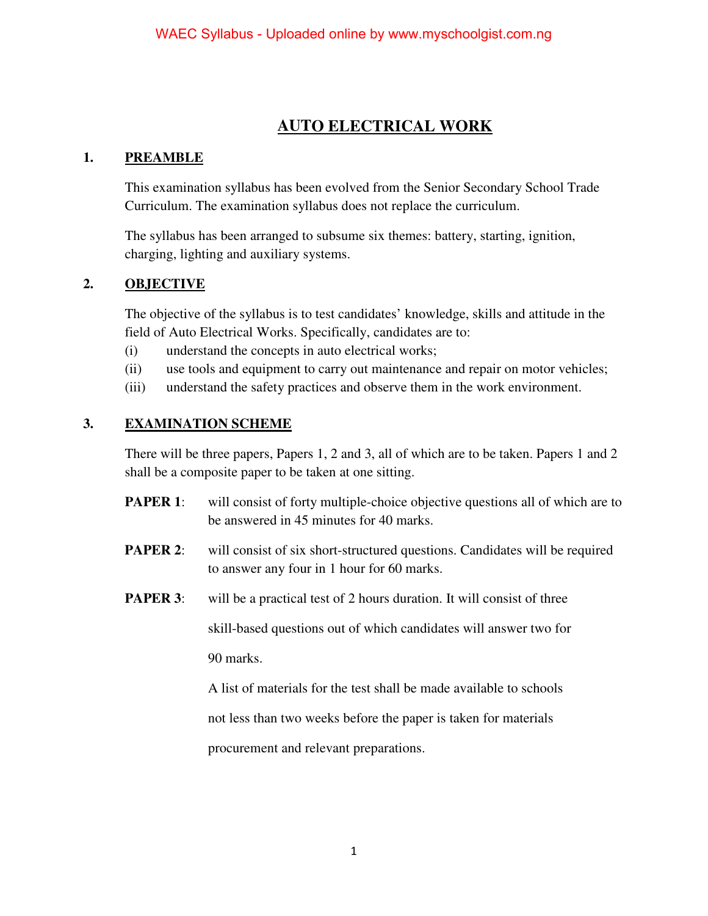# **AUTO ELECTRICAL WORK**

## **1. PREAMBLE**

This examination syllabus has been evolved from the Senior Secondary School Trade Curriculum. The examination syllabus does not replace the curriculum.

The syllabus has been arranged to subsume six themes: battery, starting, ignition, charging, lighting and auxiliary systems.

## **2. OBJECTIVE**

The objective of the syllabus is to test candidates' knowledge, skills and attitude in the field of Auto Electrical Works. Specifically, candidates are to:

- (i) understand the concepts in auto electrical works;
- (ii) use tools and equipment to carry out maintenance and repair on motor vehicles;
- (iii) understand the safety practices and observe them in the work environment.

# **3. EXAMINATION SCHEME**

There will be three papers, Papers 1, 2 and 3, all of which are to be taken. Papers 1 and 2 shall be a composite paper to be taken at one sitting.

- **PAPER 1:** will consist of forty multiple-choice objective questions all of which are to be answered in 45 minutes for 40 marks.
- **PAPER 2:** will consist of six short-structured questions. Candidates will be required to answer any four in 1 hour for 60 marks.
- **PAPER 3**: will be a practical test of 2 hours duration. It will consist of three

skill-based questions out of which candidates will answer two for 90 marks.

A list of materials for the test shall be made available to schools

not less than two weeks before the paper is taken for materials

procurement and relevant preparations.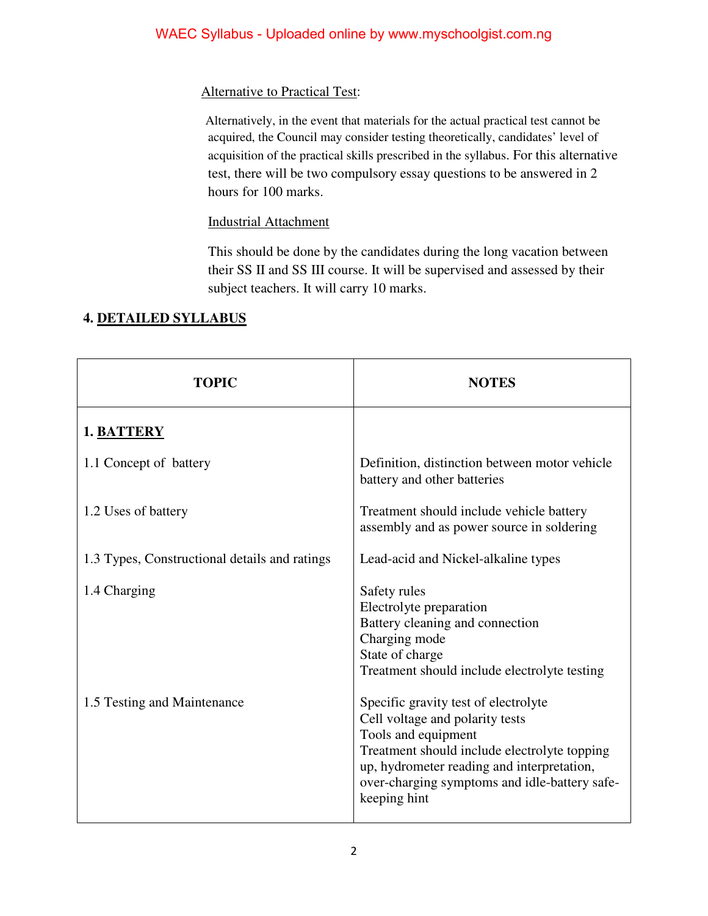## Alternative to Practical Test:

 Alternatively, in the event that materials for the actual practical test cannot be acquired, the Council may consider testing theoretically, candidates' level of acquisition of the practical skills prescribed in the syllabus. For this alternative test, there will be two compulsory essay questions to be answered in 2 hours for 100 marks.

## Industrial Attachment

This should be done by the candidates during the long vacation between their SS II and SS III course. It will be supervised and assessed by their subject teachers. It will carry 10 marks.

| <b>TOPIC</b>                                  | <b>NOTES</b>                                                                                                                                                                                                                                                  |
|-----------------------------------------------|---------------------------------------------------------------------------------------------------------------------------------------------------------------------------------------------------------------------------------------------------------------|
| 1. BATTERY                                    |                                                                                                                                                                                                                                                               |
| 1.1 Concept of battery                        | Definition, distinction between motor vehicle<br>battery and other batteries                                                                                                                                                                                  |
| 1.2 Uses of battery                           | Treatment should include vehicle battery<br>assembly and as power source in soldering                                                                                                                                                                         |
| 1.3 Types, Constructional details and ratings | Lead-acid and Nickel-alkaline types                                                                                                                                                                                                                           |
| 1.4 Charging                                  | Safety rules<br>Electrolyte preparation<br>Battery cleaning and connection<br>Charging mode<br>State of charge<br>Treatment should include electrolyte testing                                                                                                |
| 1.5 Testing and Maintenance                   | Specific gravity test of electrolyte<br>Cell voltage and polarity tests<br>Tools and equipment<br>Treatment should include electrolyte topping<br>up, hydrometer reading and interpretation,<br>over-charging symptoms and idle-battery safe-<br>keeping hint |

# **4. DETAILED SYLLABUS**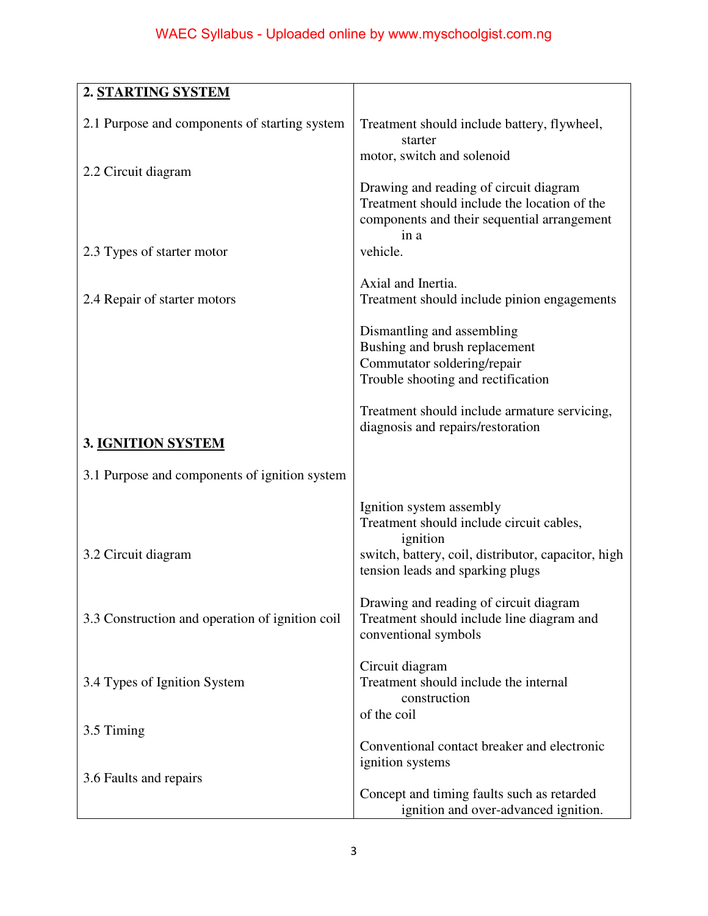| 2. STARTING SYSTEM                              |                                                                                                                                               |
|-------------------------------------------------|-----------------------------------------------------------------------------------------------------------------------------------------------|
| 2.1 Purpose and components of starting system   | Treatment should include battery, flywheel,<br>starter                                                                                        |
| 2.2 Circuit diagram                             | motor, switch and solenoid                                                                                                                    |
|                                                 | Drawing and reading of circuit diagram<br>Treatment should include the location of the<br>components and their sequential arrangement<br>in a |
| 2.3 Types of starter motor                      | vehicle.                                                                                                                                      |
| 2.4 Repair of starter motors                    | Axial and Inertia.<br>Treatment should include pinion engagements                                                                             |
|                                                 | Dismantling and assembling<br>Bushing and brush replacement<br>Commutator soldering/repair<br>Trouble shooting and rectification              |
| 3. IGNITION SYSTEM                              | Treatment should include armature servicing,<br>diagnosis and repairs/restoration                                                             |
| 3.1 Purpose and components of ignition system   |                                                                                                                                               |
|                                                 | Ignition system assembly<br>Treatment should include circuit cables,<br>ignition                                                              |
| 3.2 Circuit diagram                             | switch, battery, coil, distributor, capacitor, high<br>tension leads and sparking plugs                                                       |
| 3.3 Construction and operation of ignition coil | Drawing and reading of circuit diagram<br>Treatment should include line diagram and<br>conventional symbols                                   |
| 3.4 Types of Ignition System                    | Circuit diagram<br>Treatment should include the internal<br>construction<br>of the coil                                                       |
| 3.5 Timing                                      |                                                                                                                                               |
| 3.6 Faults and repairs                          | Conventional contact breaker and electronic<br>ignition systems                                                                               |
|                                                 | Concept and timing faults such as retarded<br>ignition and over-advanced ignition.                                                            |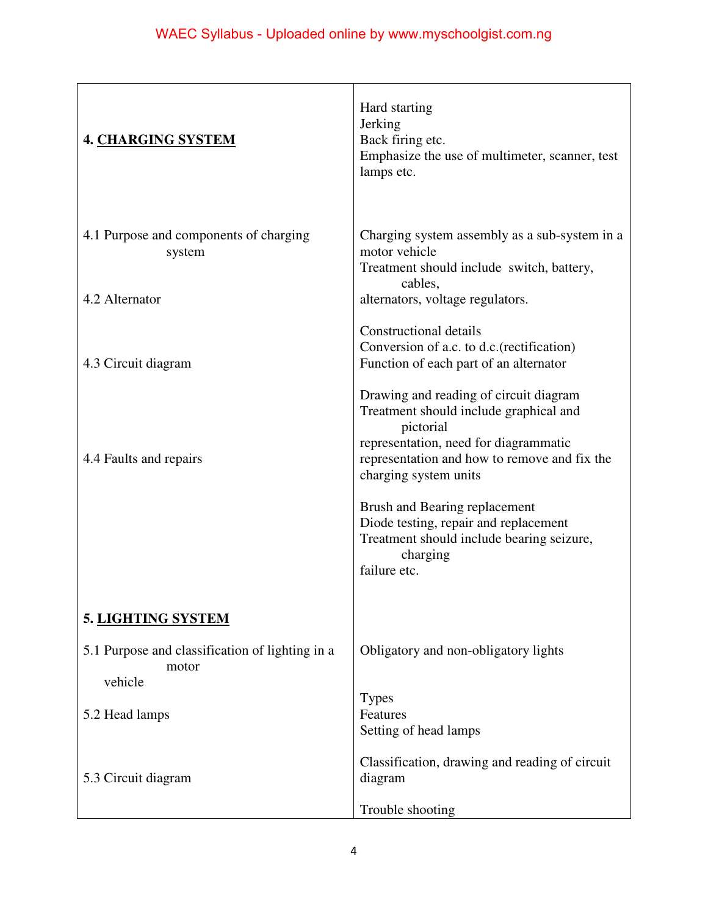| <b>4. CHARGING SYSTEM</b>                                           | Hard starting<br>Jerking<br>Back firing etc.<br>Emphasize the use of multimeter, scanner, test<br>lamps etc.                                                                                                                                                                              |
|---------------------------------------------------------------------|-------------------------------------------------------------------------------------------------------------------------------------------------------------------------------------------------------------------------------------------------------------------------------------------|
| 4.1 Purpose and components of charging<br>system                    | Charging system assembly as a sub-system in a<br>motor vehicle<br>Treatment should include switch, battery,<br>cables,                                                                                                                                                                    |
| 4.2 Alternator                                                      | alternators, voltage regulators.                                                                                                                                                                                                                                                          |
| 4.3 Circuit diagram                                                 | <b>Constructional details</b><br>Conversion of a.c. to d.c. (rectification)<br>Function of each part of an alternator                                                                                                                                                                     |
| 4.4 Faults and repairs                                              | Drawing and reading of circuit diagram<br>Treatment should include graphical and<br>pictorial<br>representation, need for diagrammatic<br>representation and how to remove and fix the<br>charging system units<br>Brush and Bearing replacement<br>Diode testing, repair and replacement |
|                                                                     | Treatment should include bearing seizure,<br>charging<br>failure etc.                                                                                                                                                                                                                     |
| 5. LIGHTING SYSTEM                                                  |                                                                                                                                                                                                                                                                                           |
| 5.1 Purpose and classification of lighting in a<br>motor<br>vehicle | Obligatory and non-obligatory lights                                                                                                                                                                                                                                                      |
| 5.2 Head lamps                                                      | <b>Types</b><br>Features<br>Setting of head lamps                                                                                                                                                                                                                                         |
| 5.3 Circuit diagram                                                 | Classification, drawing and reading of circuit<br>diagram                                                                                                                                                                                                                                 |
|                                                                     | Trouble shooting                                                                                                                                                                                                                                                                          |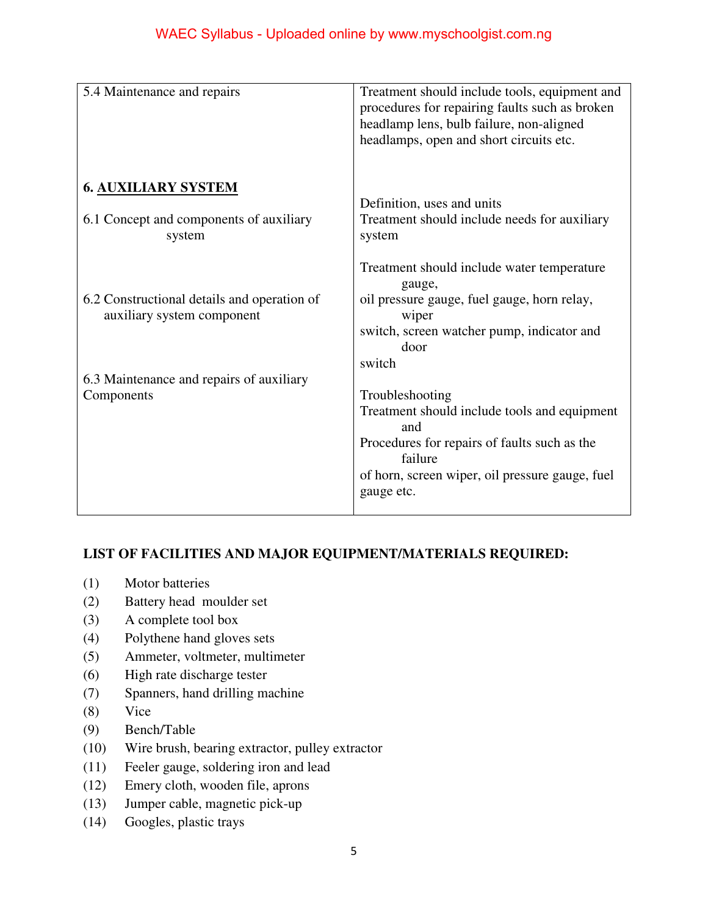| 5.4 Maintenance and repairs                                                     | Treatment should include tools, equipment and<br>procedures for repairing faults such as broken<br>headlamp lens, bulb failure, non-aligned<br>headlamps, open and short circuits etc.             |
|---------------------------------------------------------------------------------|----------------------------------------------------------------------------------------------------------------------------------------------------------------------------------------------------|
| <b>6. AUXILIARY SYSTEM</b><br>6.1 Concept and components of auxiliary<br>system | Definition, uses and units<br>Treatment should include needs for auxiliary<br>system                                                                                                               |
| 6.2 Constructional details and operation of<br>auxiliary system component       | Treatment should include water temperature<br>gauge,<br>oil pressure gauge, fuel gauge, horn relay,<br>wiper<br>switch, screen watcher pump, indicator and<br>door<br>switch                       |
| 6.3 Maintenance and repairs of auxiliary<br>Components                          | Troubleshooting<br>Treatment should include tools and equipment<br>and<br>Procedures for repairs of faults such as the<br>failure<br>of horn, screen wiper, oil pressure gauge, fuel<br>gauge etc. |

# **LIST OF FACILITIES AND MAJOR EQUIPMENT/MATERIALS REQUIRED:**

- (1) Motor batteries
- (2) Battery head moulder set
- (3) A complete tool box
- (4) Polythene hand gloves sets
- (5) Ammeter, voltmeter, multimeter
- (6) High rate discharge tester
- (7) Spanners, hand drilling machine
- (8) Vice
- (9) Bench/Table
- (10) Wire brush, bearing extractor, pulley extractor
- (11) Feeler gauge, soldering iron and lead
- (12) Emery cloth, wooden file, aprons
- (13) Jumper cable, magnetic pick-up
- (14) Googles, plastic trays